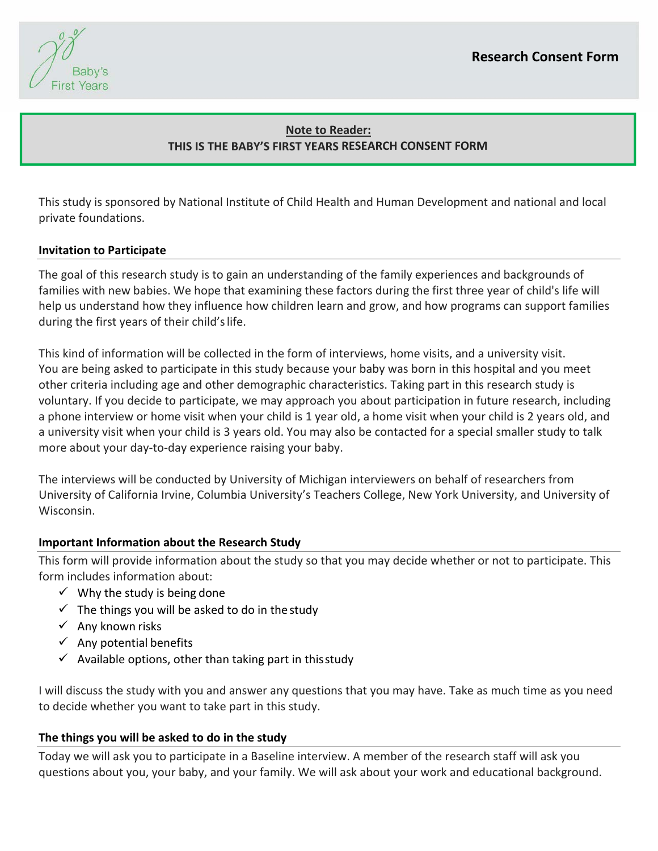Baby's **First Years** 

# **Note to Reader: THIS IS THE BABY'S FIRST YEARS RESEARCH CONSENT FORM**

This study is sponsored by National Institute of Child Health and Human Development and national and local private foundations.

## **Invitation to Participate**

The goal of this research study is to gain an understanding of the family experiences and backgrounds of families with new babies. We hope that examining these factors during the first three year of child's life will help us understand how they influence how children learn and grow, and how programs can support families during the first years of their child's life.

This kind of information will be collected in the form of interviews, home visits, and a university visit. You are being asked to participate in this study because your baby was born in this hospital and you meet other criteria including age and other demographic characteristics. Taking part in this research study is voluntary. If you decide to participate, we may approach you about participation in future research, including a phone interview or home visit when your child is 1 year old, a home visit when your child is 2 years old, and a university visit when your child is 3 years old. You may also be contacted for a special smaller study to talk more about your day‐to‐day experience raising your baby.

The interviews will be conducted by University of Michigan interviewers on behalf of researchers from University of California Irvine, Columbia University's Teachers College, New York University, and University of Wisconsin.

#### **Important Information about the Research Study**

This form will provide information about the study so that you may decide whether or not to participate. This form includes information about:

- $\checkmark$  Why the study is being done
- $\checkmark$  The things you will be asked to do in the study
- $\checkmark$  Any known risks
- $\checkmark$  Any potential benefits
- $\checkmark$  Available options, other than taking part in this study

I will discuss the study with you and answer any questions that you may have. Take as much time as you need to decide whether you want to take part in this study.

#### **The things you will be asked to do in the study**

Today we will ask you to participate in a Baseline interview. A member of the research staff will ask you questions about you, your baby, and your family. We will ask about your work and educational background.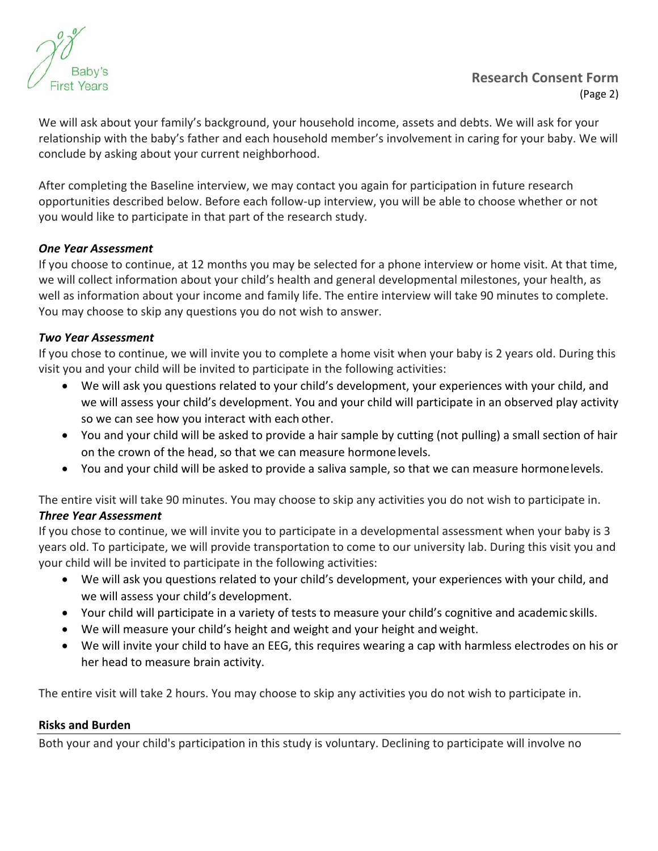

# **Research Consent Form** (Page 2)

We will ask about your family's background, your household income, assets and debts. We will ask for your relationship with the baby's father and each household member's involvement in caring for your baby. We will conclude by asking about your current neighborhood.

After completing the Baseline interview, we may contact you again for participation in future research opportunities described below. Before each follow‐up interview, you will be able to choose whether or not you would like to participate in that part of the research study.

## *One Year Assessment*

If you choose to continue, at 12 months you may be selected for a phone interview or home visit. At that time, we will collect information about your child's health and general developmental milestones, your health, as well as information about your income and family life. The entire interview will take 90 minutes to complete. You may choose to skip any questions you do not wish to answer.

## *Two Year Assessment*

If you chose to continue, we will invite you to complete a home visit when your baby is 2 years old. During this visit you and your child will be invited to participate in the following activities:

- We will ask you questions related to your child's development, your experiences with your child, and we will assess your child's development. You and your child will participate in an observed play activity so we can see how you interact with each other.
- You and your child will be asked to provide a hair sample by cutting (not pulling) a small section of hair on the crown of the head, so that we can measure hormone levels.
- You and your child will be asked to provide a saliva sample, so that we can measure hormone levels.

The entire visit will take 90 minutes. You may choose to skip any activities you do not wish to participate in.

#### *Three Year Assessment*

If you chose to continue, we will invite you to participate in a developmental assessment when your baby is 3 years old. To participate, we will provide transportation to come to our university lab. During this visit you and your child will be invited to participate in the following activities:

- We will ask you questions related to your child's development, your experiences with your child, and we will assess your child's development.
- Your child will participate in a variety of tests to measure your child's cognitive and academic skills.
- We will measure your child's height and weight and your height and weight.
- We will invite your child to have an EEG, this requires wearing a cap with harmless electrodes on his or her head to measure brain activity.

The entire visit will take 2 hours. You may choose to skip any activities you do not wish to participate in.

#### **Risks and Burden**

Both your and your child's participation in this study is voluntary. Declining to participate will involve no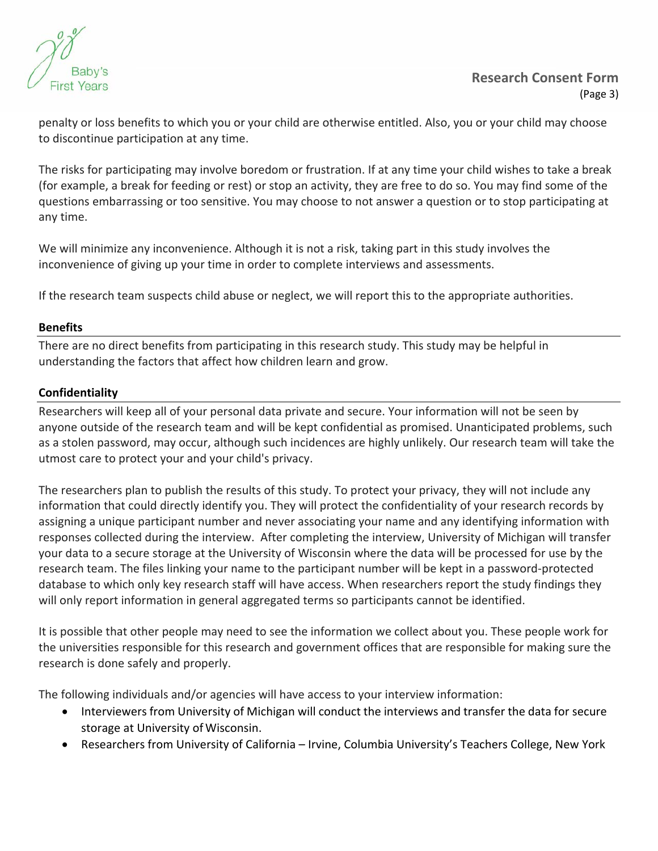

penalty or loss benefits to which you or your child are otherwise entitled. Also, you or your child may choose to discontinue participation at any time.

The risks for participating may involve boredom or frustration. If at any time your child wishes to take a break (for example, a break for feeding or rest) or stop an activity, they are free to do so. You may find some of the questions embarrassing or too sensitive. You may choose to not answer a question or to stop participating at any time.

We will minimize any inconvenience. Although it is not a risk, taking part in this study involves the inconvenience of giving up your time in order to complete interviews and assessments.

If the research team suspects child abuse or neglect, we will report this to the appropriate authorities.

#### **Benefits**

There are no direct benefits from participating in this research study. This study may be helpful in understanding the factors that affect how children learn and grow.

#### **Confidentiality**

Researchers will keep all of your personal data private and secure. Your information will not be seen by anyone outside of the research team and will be kept confidential as promised. Unanticipated problems, such as a stolen password, may occur, although such incidences are highly unlikely. Our research team will take the utmost care to protect your and your child's privacy.

The researchers plan to publish the results of this study. To protect your privacy, they will not include any information that could directly identify you. They will protect the confidentiality of your research records by assigning a unique participant number and never associating your name and any identifying information with responses collected during the interview. After completing the interview, University of Michigan will transfer your data to a secure storage at the University of Wisconsin where the data will be processed for use by the research team. The files linking your name to the participant number will be kept in a password‐protected database to which only key research staff will have access. When researchers report the study findings they will only report information in general aggregated terms so participants cannot be identified.

It is possible that other people may need to see the information we collect about you. These people work for the universities responsible for this research and government offices that are responsible for making sure the research is done safely and properly.

The following individuals and/or agencies will have access to your interview information:

- Interviewers from University of Michigan will conduct the interviews and transfer the data for secure storage at University of Wisconsin.
- Researchers from University of California Irvine, Columbia University's Teachers College, New York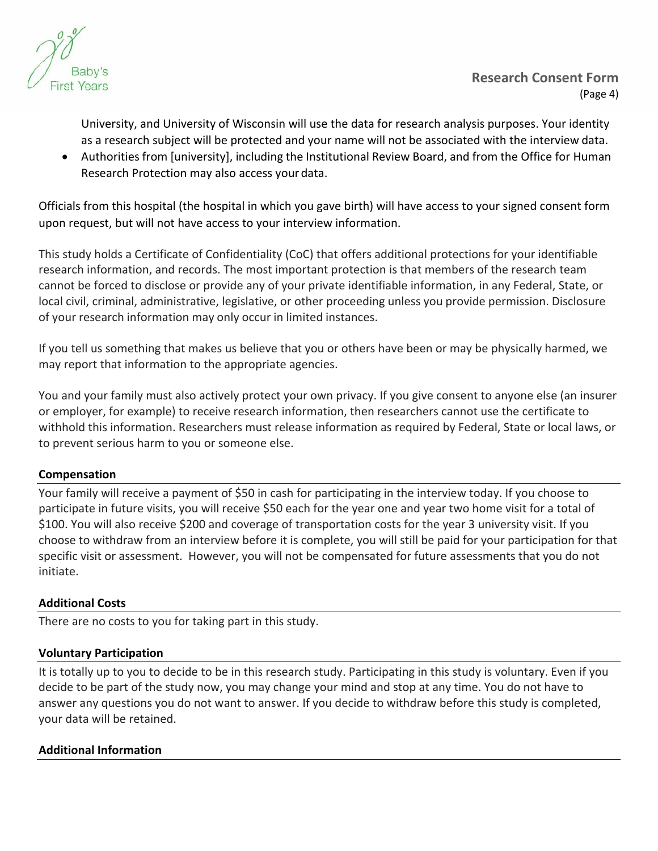

University, and University of Wisconsin will use the data for research analysis purposes. Your identity as a research subject will be protected and your name will not be associated with the interview data.

 Authorities from [university], including the Institutional Review Board, and from the Office for Human Research Protection may also access your data.

Officials from this hospital (the hospital in which you gave birth) will have access to your signed consent form upon request, but will not have access to your interview information.

This study holds a Certificate of Confidentiality (CoC) that offers additional protections for your identifiable research information, and records. The most important protection is that members of the research team cannot be forced to disclose or provide any of your private identifiable information, in any Federal, State, or local civil, criminal, administrative, legislative, or other proceeding unless you provide permission. Disclosure of your research information may only occur in limited instances.

If you tell us something that makes us believe that you or others have been or may be physically harmed, we may report that information to the appropriate agencies.

You and your family must also actively protect your own privacy. If you give consent to anyone else (an insurer or employer, for example) to receive research information, then researchers cannot use the certificate to withhold this information. Researchers must release information as required by Federal, State or local laws, or to prevent serious harm to you or someone else.

## **Compensation**

Your family will receive a payment of \$50 in cash for participating in the interview today. If you choose to participate in future visits, you will receive \$50 each for the year one and year two home visit for a total of \$100. You will also receive \$200 and coverage of transportation costs for the year 3 university visit. If you choose to withdraw from an interview before it is complete, you will still be paid for your participation for that specific visit or assessment. However, you will not be compensated for future assessments that you do not initiate.

## **Additional Costs**

There are no costs to you for taking part in this study.

#### **Voluntary Participation**

It is totally up to you to decide to be in this research study. Participating in this study is voluntary. Even if you decide to be part of the study now, you may change your mind and stop at any time. You do not have to answer any questions you do not want to answer. If you decide to withdraw before this study is completed, your data will be retained.

#### **Additional Information**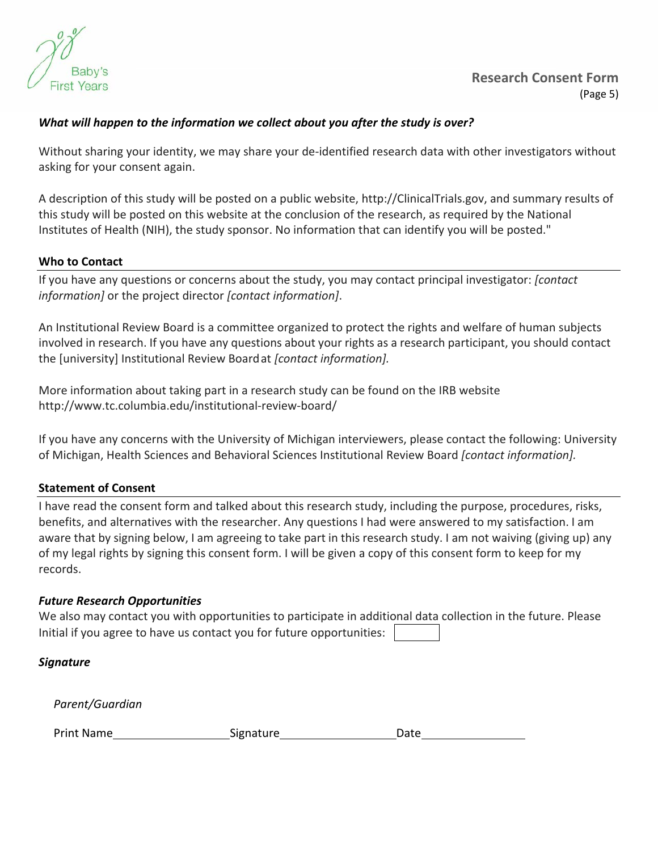

#### *What will happen to the information we collect about you after the study is over?*

Without sharing your identity, we may share your de‐identified research data with other investigators without asking for your consent again.

A description of this study will be posted on a public website, http://ClinicalTrials.gov, and summary results of this study will be posted on this website at the conclusion of the research, as required by the National Institutes of Health (NIH), the study sponsor. No information that can identify you will be posted."

#### **Who to Contact**

If you have any questions or concerns about the study, you may contact principal investigator: *[contact information]* or the project director *[contact information]*.

An Institutional Review Board is a committee organized to protect the rights and welfare of human subjects involved in research. If you have any questions about your rights as a research participant, you should contact the [university] Institutional Review Board at *[contact information].*

More information about taking part in a research study can be found on the IRB website http://www.tc.columbia.edu/institutional‐review‐board/

If you have any concerns with the University of Michigan interviewers, please contact the following: University of Michigan, Health Sciences and Behavioral Sciences Institutional Review Board *[contact information].*

#### **Statement of Consent**

I have read the consent form and talked about this research study, including the purpose, procedures, risks, benefits, and alternatives with the researcher. Any questions I had were answered to my satisfaction. I am aware that by signing below, I am agreeing to take part in this research study. I am not waiving (giving up) any of my legal rights by signing this consent form. I will be given a copy of this consent form to keep for my records.

#### *Future Research Opportunities*

| We also may contact you with opportunities to participate in additional data collection in the future. Please |  |
|---------------------------------------------------------------------------------------------------------------|--|
| Initial if you agree to have us contact you for future opportunities:                                         |  |

| Signature |
|-----------|
|-----------|

*Parent/Guardian* 

Print Name **Signature Date**